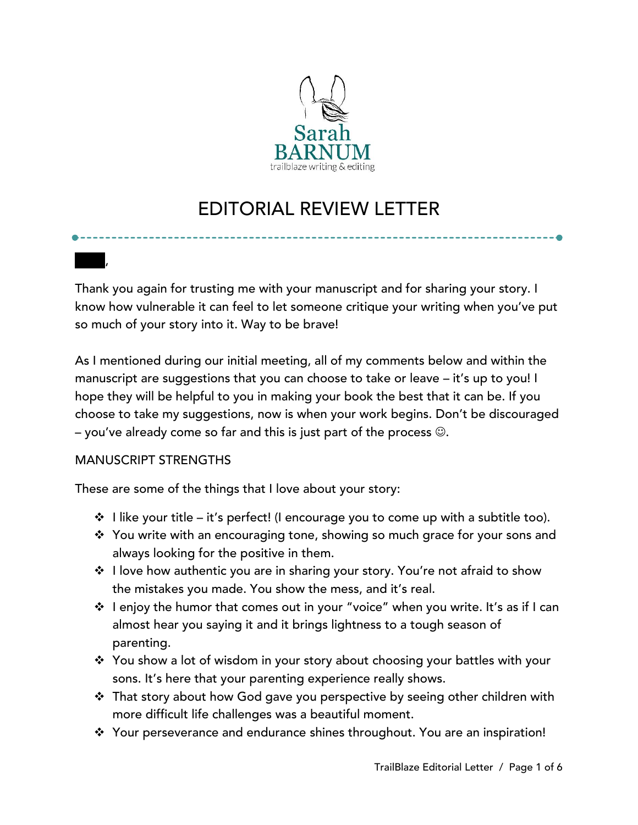

# EDITORIAL REVIEW LETTER

Thank you again for trusting me with your manuscript and for sharing your story. I know how vulnerable it can feel to let someone critique your writing when you've put so much of your story into it. Way to be brave!

As I mentioned during our initial meeting, all of my comments below and within the manuscript are suggestions that you can choose to take or leave – it's up to you! I hope they will be helpful to you in making your book the best that it can be. If you choose to take my suggestions, now is when your work begins. Don't be discouraged – you've already come so far and this is just part of the process  $\odot$ .

# MANUSCRIPT STRENGTHS

Carol,

These are some of the things that I love about your story:

- $\div$  I like your title it's perfect! (I encourage you to come up with a subtitle too).
- ❖ You write with an encouraging tone, showing so much grace for your sons and always looking for the positive in them.
- ❖ I love how authentic you are in sharing your story. You're not afraid to show the mistakes you made. You show the mess, and it's real.
- ❖ I enjoy the humor that comes out in your "voice" when you write. It's as if I can almost hear you saying it and it brings lightness to a tough season of parenting.
- ❖ You show a lot of wisdom in your story about choosing your battles with your sons. It's here that your parenting experience really shows.
- ❖ That story about how God gave you perspective by seeing other children with more difficult life challenges was a beautiful moment.
- ❖ Your perseverance and endurance shines throughout. You are an inspiration!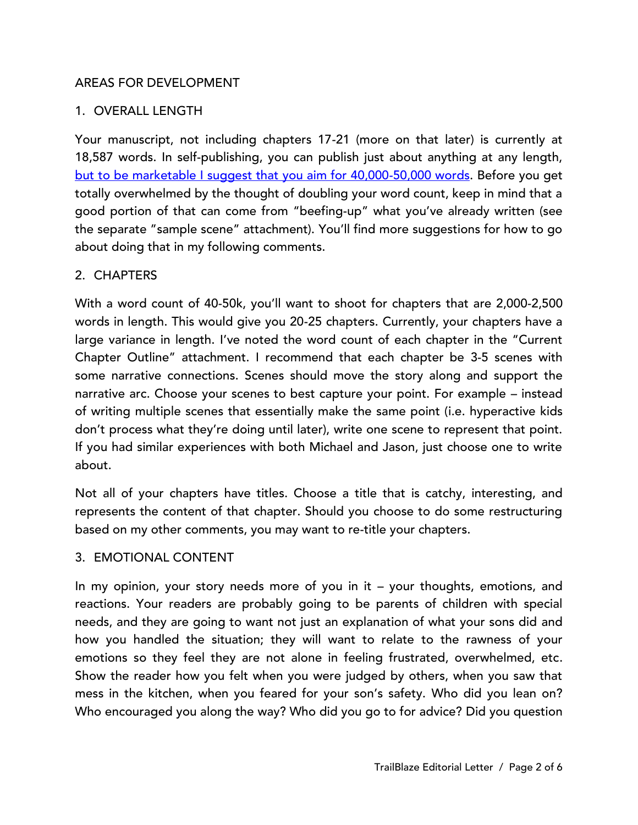# AREAS FOR DEVELOPMENT

### 1. OVERALL LENGTH

Your manuscript, not including chapters 17-21 (more on that later) is currently at 18,587 words. In self-publishing, you can publish just about anything at any length, [but to be marketable I suggest that you aim for 40,000-50,000 words.](http://www.booksandsuch.com/blog/word-count-confusion/) Before you get totally overwhelmed by the thought of doubling your word count, keep in mind that a good portion of that can come from "beefing-up" what you've already written (see the separate "sample scene" attachment). You'll find more suggestions for how to go about doing that in my following comments.

#### 2. CHAPTERS

With a word count of 40-50k, you'll want to shoot for chapters that are 2,000-2,500 words in length. This would give you 20-25 chapters. Currently, your chapters have a large variance in length. I've noted the word count of each chapter in the "Current Chapter Outline" attachment. I recommend that each chapter be 3-5 scenes with some narrative connections. Scenes should move the story along and support the narrative arc. Choose your scenes to best capture your point. For example – instead of writing multiple scenes that essentially make the same point (i.e. hyperactive kids don't process what they're doing until later), write one scene to represent that point. If you had similar experiences with both Michael and Jason, just choose one to write about.

Not all of your chapters have titles. Choose a title that is catchy, interesting, and represents the content of that chapter. Should you choose to do some restructuring based on my other comments, you may want to re-title your chapters.

#### 3. EMOTIONAL CONTENT

In my opinion, your story needs more of you in it – your thoughts, emotions, and reactions. Your readers are probably going to be parents of children with special needs, and they are going to want not just an explanation of what your sons did and how you handled the situation; they will want to relate to the rawness of your emotions so they feel they are not alone in feeling frustrated, overwhelmed, etc. Show the reader how you felt when you were judged by others, when you saw that mess in the kitchen, when you feared for your son's safety. Who did you lean on? Who encouraged you along the way? Who did you go to for advice? Did you question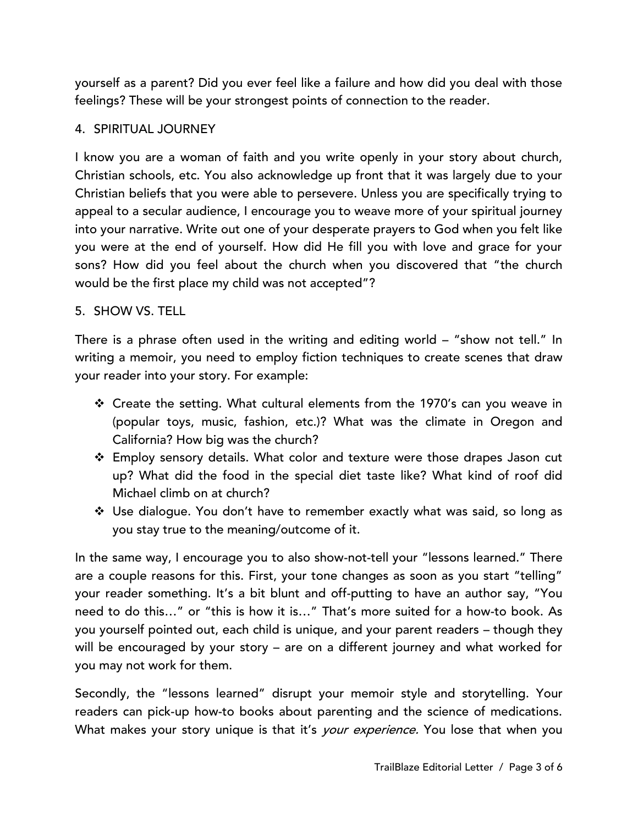yourself as a parent? Did you ever feel like a failure and how did you deal with those feelings? These will be your strongest points of connection to the reader.

# 4. SPIRITUAL JOURNEY

I know you are a woman of faith and you write openly in your story about church, Christian schools, etc. You also acknowledge up front that it was largely due to your Christian beliefs that you were able to persevere. Unless you are specifically trying to appeal to a secular audience, I encourage you to weave more of your spiritual journey into your narrative. Write out one of your desperate prayers to God when you felt like you were at the end of yourself. How did He fill you with love and grace for your sons? How did you feel about the church when you discovered that "the church would be the first place my child was not accepted"?

# 5. SHOW VS. TELL

There is a phrase often used in the writing and editing world – "show not tell." In writing a memoir, you need to employ fiction techniques to create scenes that draw your reader into your story. For example:

- ❖ Create the setting. What cultural elements from the 1970's can you weave in (popular toys, music, fashion, etc.)? What was the climate in Oregon and California? How big was the church?
- ❖ Employ sensory details. What color and texture were those drapes Jason cut up? What did the food in the special diet taste like? What kind of roof did Michael climb on at church?
- ❖ Use dialogue. You don't have to remember exactly what was said, so long as you stay true to the meaning/outcome of it.

In the same way, I encourage you to also show-not-tell your "lessons learned." There are a couple reasons for this. First, your tone changes as soon as you start "telling" your reader something. It's a bit blunt and off-putting to have an author say, "You need to do this…" or "this is how it is…" That's more suited for a how-to book. As you yourself pointed out, each child is unique, and your parent readers – though they will be encouraged by your story – are on a different journey and what worked for you may not work for them.

Secondly, the "lessons learned" disrupt your memoir style and storytelling. Your readers can pick-up how-to books about parenting and the science of medications. What makes your story unique is that it's *your experience*. You lose that when you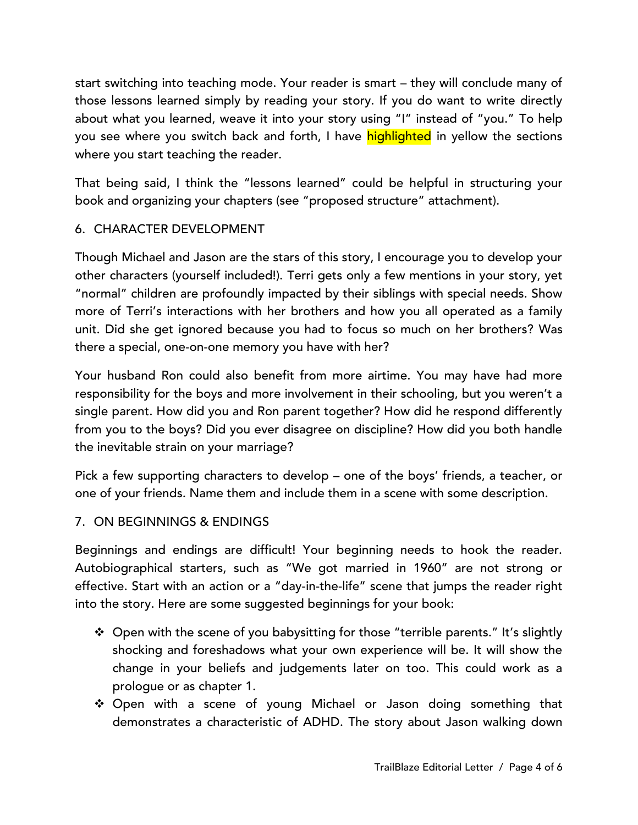start switching into teaching mode. Your reader is smart – they will conclude many of those lessons learned simply by reading your story. If you do want to write directly about what you learned, weave it into your story using "I" instead of "you." To help you see where you switch back and forth, I have highlighted in yellow the sections where you start teaching the reader.

That being said, I think the "lessons learned" could be helpful in structuring your book and organizing your chapters (see "proposed structure" attachment).

# 6. CHARACTER DEVELOPMENT

Though Michael and Jason are the stars of this story, I encourage you to develop your other characters (yourself included!). Terri gets only a few mentions in your story, yet "normal" children are profoundly impacted by their siblings with special needs. Show more of Terri's interactions with her brothers and how you all operated as a family unit. Did she get ignored because you had to focus so much on her brothers? Was there a special, one-on-one memory you have with her?

Your husband Ron could also benefit from more airtime. You may have had more responsibility for the boys and more involvement in their schooling, but you weren't a single parent. How did you and Ron parent together? How did he respond differently from you to the boys? Did you ever disagree on discipline? How did you both handle the inevitable strain on your marriage?

Pick a few supporting characters to develop – one of the boys' friends, a teacher, or one of your friends. Name them and include them in a scene with some description.

# 7. ON BEGINNINGS & ENDINGS

Beginnings and endings are difficult! Your beginning needs to hook the reader. Autobiographical starters, such as "We got married in 1960" are not strong or effective. Start with an action or a "day-in-the-life" scene that jumps the reader right into the story. Here are some suggested beginnings for your book:

- ❖ Open with the scene of you babysitting for those "terrible parents." It's slightly shocking and foreshadows what your own experience will be. It will show the change in your beliefs and judgements later on too. This could work as a prologue or as chapter 1.
- ❖ Open with a scene of young Michael or Jason doing something that demonstrates a characteristic of ADHD. The story about Jason walking down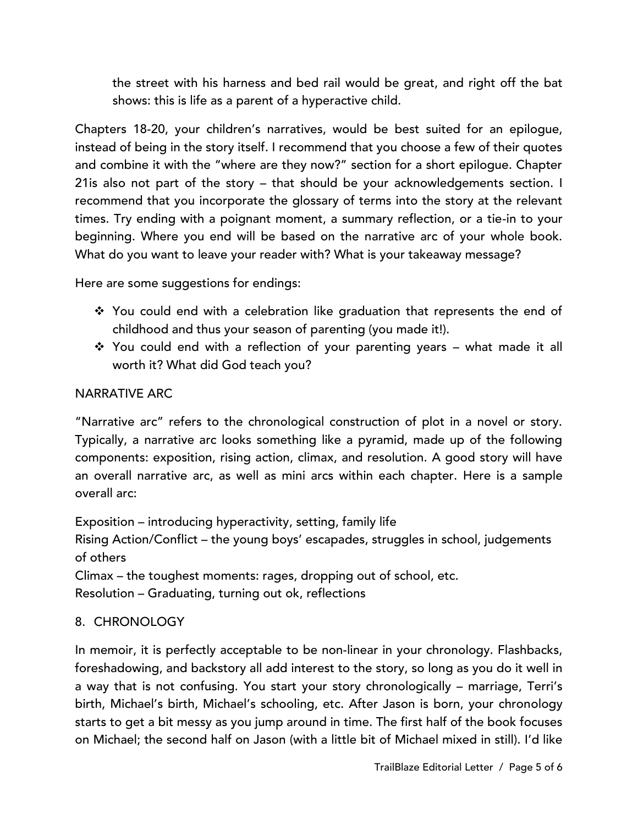the street with his harness and bed rail would be great, and right off the bat shows: this is life as a parent of a hyperactive child.

Chapters 18-20, your children's narratives, would be best suited for an epilogue, instead of being in the story itself. I recommend that you choose a few of their quotes and combine it with the "where are they now?" section for a short epilogue. Chapter 21is also not part of the story – that should be your acknowledgements section. I recommend that you incorporate the glossary of terms into the story at the relevant times. Try ending with a poignant moment, a summary reflection, or a tie-in to your beginning. Where you end will be based on the narrative arc of your whole book. What do you want to leave your reader with? What is your takeaway message?

Here are some suggestions for endings:

- ❖ You could end with a celebration like graduation that represents the end of childhood and thus your season of parenting (you made it!).
- ❖ You could end with a reflection of your parenting years what made it all worth it? What did God teach you?

# NARRATIVE ARC

"Narrative arc" refers to the chronological construction of plot in a novel or story. Typically, a narrative arc looks something like a pyramid, made up of the following components: exposition, rising action, climax, and resolution. A good story will have an overall narrative arc, as well as mini arcs within each chapter. Here is a sample overall arc:

Exposition – introducing hyperactivity, setting, family life Rising Action/Conflict – the young boys' escapades, struggles in school, judgements of others

Climax – the toughest moments: rages, dropping out of school, etc.

Resolution – Graduating, turning out ok, reflections

# 8. CHRONOLOGY

In memoir, it is perfectly acceptable to be non-linear in your chronology. Flashbacks, foreshadowing, and backstory all add interest to the story, so long as you do it well in a way that is not confusing. You start your story chronologically – marriage, Terri's birth, Michael's birth, Michael's schooling, etc. After Jason is born, your chronology starts to get a bit messy as you jump around in time. The first half of the book focuses on Michael; the second half on Jason (with a little bit of Michael mixed in still). I'd like